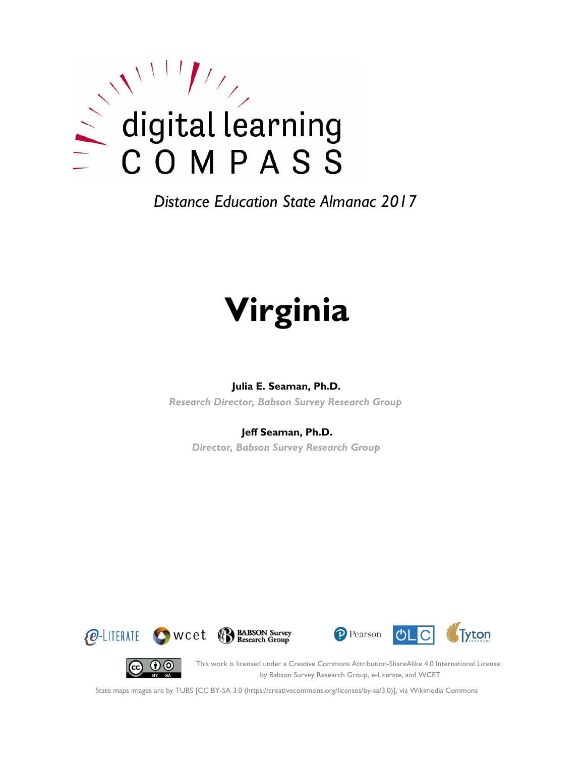

# **Virginia**

#### **Julia E. Seaman, Ph.D.**

*Research Director, Babson Survey Research Group*

#### **Jeff Seaman, Ph.D.**

*Director, Babson Survey Research Group*









This work is licensed under a Creative Commons Attribution-ShareAlike 4.0 International License. by Babson Survey Research Group, e-Literate, and WCET

State maps images are by TUBS [CC BY-SA 3.0 (https://creativecommons.org/licenses/by-sa/3.0)], via Wikimedia Commons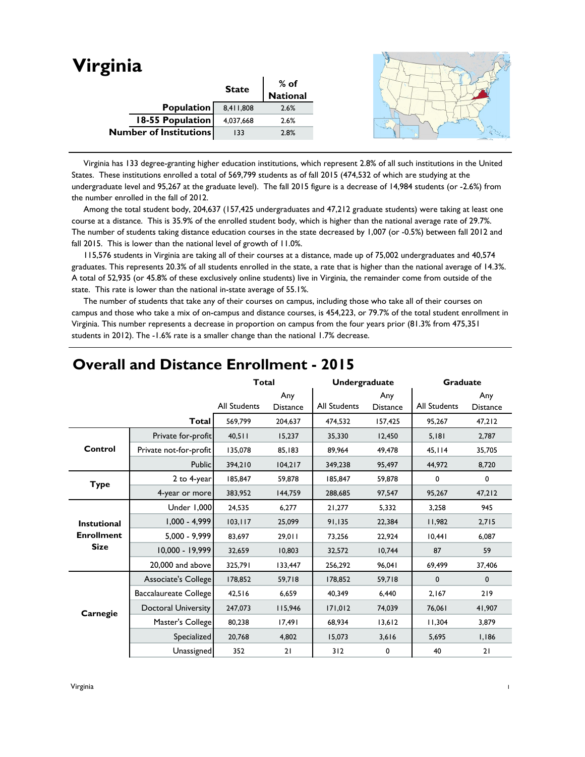| Virginia                      |              |                  |  |
|-------------------------------|--------------|------------------|--|
|                               | <b>State</b> | % of<br>National |  |
|                               |              |                  |  |
| Population                    | 8,411,808    | 2.6%             |  |
| 18-55 Population              | 4,037,668    | 2.6%             |  |
| <b>Number of Institutions</b> | 133          | 2.8%             |  |
|                               |              |                  |  |

 Virginia has 133 degree-granting higher education institutions, which represent 2.8% of all such institutions in the United States. These institutions enrolled a total of 569,799 students as of fall 2015 (474,532 of which are studying at the undergraduate level and 95,267 at the graduate level). The fall 2015 figure is a decrease of 14,984 students (or -2.6%) from the number enrolled in the fall of 2012.

 Among the total student body, 204,637 (157,425 undergraduates and 47,212 graduate students) were taking at least one course at a distance. This is 35.9% of the enrolled student body, which is higher than the national average rate of 29.7%. The number of students taking distance education courses in the state decreased by 1,007 (or -0.5%) between fall 2012 and fall 2015. This is lower than the national level of growth of 11.0%.

 115,576 students in Virginia are taking all of their courses at a distance, made up of 75,002 undergraduates and 40,574 graduates. This represents 20.3% of all students enrolled in the state, a rate that is higher than the national average of 14.3%. A total of 52,935 (or 45.8% of these exclusively online students) live in Virginia, the remainder come from outside of the state. This rate is lower than the national in-state average of 55.1%.

 The number of students that take any of their courses on campus, including those who take all of their courses on campus and those who take a mix of on-campus and distance courses, is 454,223, or 79.7% of the total student enrollment in Virginia. This number represents a decrease in proportion on campus from the four years prior (81.3% from 475,351 students in 2012). The -1.6% rate is a smaller change than the national 1.7% decrease.

|                    |                        | <b>Total</b>        |                        | Undergraduate |                        | <b>Graduate</b> |                        |
|--------------------|------------------------|---------------------|------------------------|---------------|------------------------|-----------------|------------------------|
|                    |                        | <b>All Students</b> | Any<br><b>Distance</b> | All Students  | Any<br><b>Distance</b> | All Students    | Any<br><b>Distance</b> |
|                    | <b>Total</b>           | 569.799             | 204.637                | 474,532       | 157,425                | 95.267          | 47,212                 |
|                    | Private for-profit     | 40,511              | 15,237                 | 35,330        | 12,450                 | 5,181           | 2,787                  |
| Control            | Private not-for-profit | 135,078             | 85,183                 | 89,964        | 49,478                 | 45,114          | 35,705                 |
|                    | Public                 | 394,210             | 104,217                | 349,238       | 95,497                 | 44,972          | 8,720                  |
| <b>Type</b>        | 2 to 4-year            | 185,847             | 59,878                 | 185,847       | 59,878                 | 0               | 0                      |
|                    | 4-year or more         | 383,952             | 144,759                | 288,685       | 97,547                 | 95,267          | 47,212                 |
|                    | Under 1,000            | 24,535              | 6,277                  | 21,277        | 5,332                  | 3,258           | 945                    |
| <b>Instutional</b> | $1,000 - 4,999$        | 103, 117            | 25,099                 | 91,135        | 22,384                 | 11,982          | 2,715                  |
| <b>Enrollment</b>  | $5,000 - 9,999$        | 83,697              | 29,011                 | 73,256        | 22,924                 | 10,441          | 6,087                  |
| <b>Size</b>        | 10,000 - 19,999        | 32,659              | 10,803                 | 32,572        | 10,744                 | 87              | 59                     |
|                    | 20,000 and above       | 325,791             | 133,447                | 256,292       | 96.041                 | 69,499          | 37,406                 |
|                    | Associate's College    | 178,852             | 59,718                 | 178,852       | 59,718                 | $\mathbf 0$     | $\mathbf 0$            |
|                    | Baccalaureate College  | 42,516              | 6,659                  | 40,349        | 6,440                  | 2,167           | 219                    |
| Carnegie           | Doctoral University    | 247,073             | 115,946                | 171,012       | 74,039                 | 76,061          | 41,907                 |
|                    | Master's College       | 80,238              | 17,491                 | 68,934        | 13,612                 | 11,304          | 3,879                  |
|                    | Specialized            | 20,768              | 4,802                  | 15,073        | 3,616                  | 5,695           | 1,186                  |
|                    | Unassigned             | 352                 | 21                     | 312           | 0                      | 40              | 21                     |

#### **Overall and Distance Enrollment - 2015**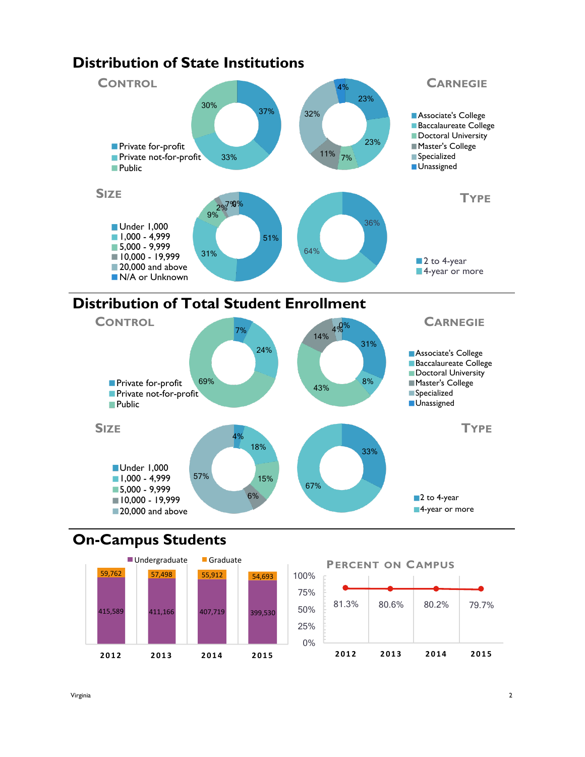

## **Distribution of Total Student Enrollment**



## **On-Campus Students**

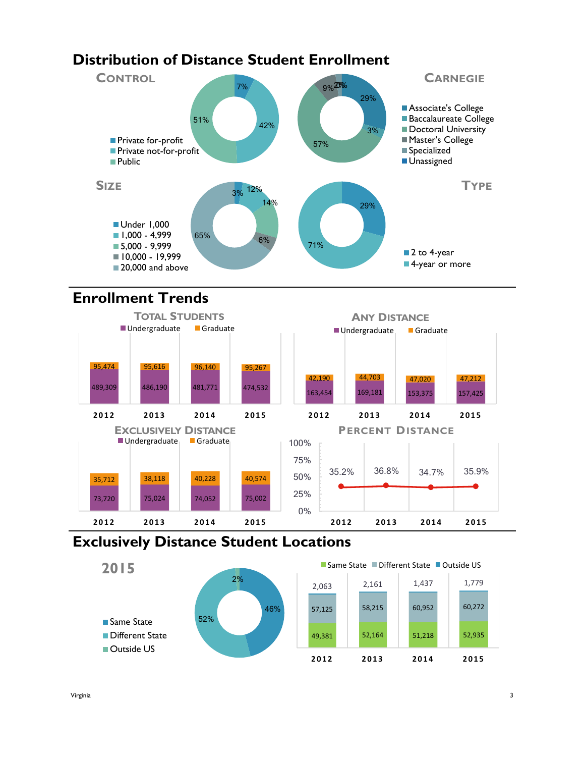## **Distribution of Distance Student Enrollment**



## **Enrollment Trends**



#### **Exclusively Distance Student Locations**